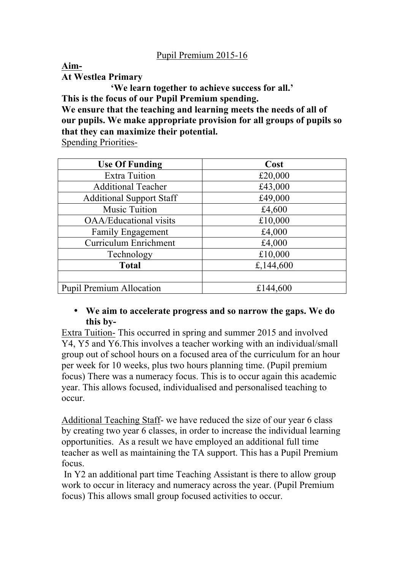**Aim-At Westlea Primary**

**'We learn together to achieve success for all.' This is the focus of our Pupil Premium spending. We ensure that the teaching and learning meets the needs of all of** 

**our pupils. We make appropriate provision for all groups of pupils so that they can maximize their potential.** 

Spending Priorities-

| <b>Use Of Funding</b>           | Cost      |
|---------------------------------|-----------|
| <b>Extra Tuition</b>            | £20,000   |
| <b>Additional Teacher</b>       | £43,000   |
| <b>Additional Support Staff</b> | £49,000   |
| <b>Music Tuition</b>            | £4,600    |
| <b>OAA/Educational visits</b>   | £10,000   |
| Family Engagement               | £4,000    |
| <b>Curriculum Enrichment</b>    | £4,000    |
| Technology                      | £10,000   |
| <b>Total</b>                    | £,144,600 |
|                                 |           |
| <b>Pupil Premium Allocation</b> | £144,600  |

## • **We aim to accelerate progress and so narrow the gaps. We do this by-**

Extra Tuition- This occurred in spring and summer 2015 and involved Y4, Y5 and Y6.This involves a teacher working with an individual/small group out of school hours on a focused area of the curriculum for an hour per week for 10 weeks, plus two hours planning time. (Pupil premium focus) There was a numeracy focus. This is to occur again this academic year. This allows focused, individualised and personalised teaching to occur.

Additional Teaching Staff- we have reduced the size of our year 6 class by creating two year 6 classes, in order to increase the individual learning opportunities. As a result we have employed an additional full time teacher as well as maintaining the TA support. This has a Pupil Premium focus.

In Y2 an additional part time Teaching Assistant is there to allow group work to occur in literacy and numeracy across the year. (Pupil Premium focus) This allows small group focused activities to occur.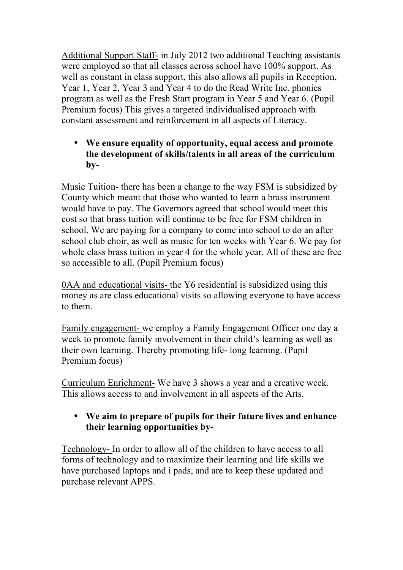Additional Support Staff- in July 2012 two additional Teaching assistants were employed so that all classes across school have 100% support. As well as constant in class support, this also allows all pupils in Reception, Year 1, Year 2, Year 3 and Year 4 to do the Read Write Inc. phonics program as well as the Fresh Start program in Year 5 and Year 6. (Pupil Premium focus) This gives a targeted individualised approach with constant assessment and reinforcement in all aspects of Literacy.

## • **We ensure equality of opportunity, equal access and promote the development of skills/talents in all areas of the curriculum by**-

Music Tuition- there has been a change to the way FSM is subsidized by County which meant that those who wanted to learn a brass instrument would have to pay. The Governors agreed that school would meet this cost so that brass tuition will continue to be free for FSM children in school. We are paying for a company to come into school to do an after school club choir, as well as music for ten weeks with Year 6. We pay for whole class brass tuition in year 4 for the whole year. All of these are free so accessible to all. (Pupil Premium focus)

0AA and educational visits- the Y6 residential is subsidized using this money as are class educational visits so allowing everyone to have access to them.

Family engagement- we employ a Family Engagement Officer one day a week to promote family involvement in their child's learning as well as their own learning. Thereby promoting life- long learning. (Pupil Premium focus)

Curriculum Enrichment- We have 3 shows a year and a creative week. This allows access to and involvement in all aspects of the Arts.

## • **We aim to prepare of pupils for their future lives and enhance their learning opportunities by-**

Technology- In order to allow all of the children to have access to all forms of technology and to maximize their learning and life skills we have purchased laptops and i pads, and are to keep these updated and purchase relevant APPS.